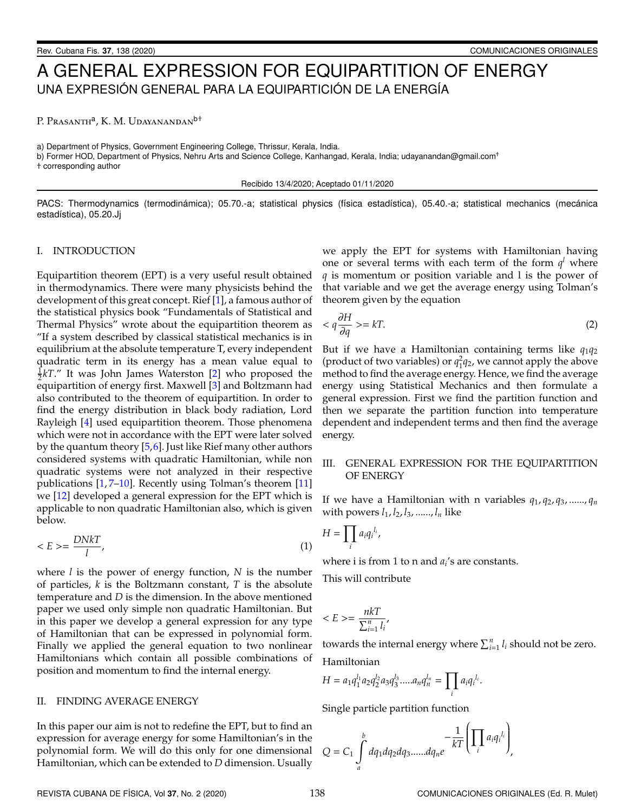# A GENERAL EXPRESSION FOR EQUIPARTITION OF ENERGY UNA EXPRESIÓN GENERAL PARA LA EQUIPARTICIÓN DE LA ENERGÍA

P. Prasanth<sup>a</sup>, K. M. Udayanandan<sup>b†</sup>

a) Department of Physics, Government Engineering College, Thrissur, Kerala, India.

b) Former HOD, Department of Physics, Nehru Arts and Science College, Kanhangad, Kerala, India; udayanandan@gmail.com<sup>+</sup>

† corresponding author

Recibido 13/4/2020; Aceptado 01/11/2020

PACS: Thermodynamics (termodinámica); 05.70.-a; statistical physics (física estadística), 05.40.-a; statistical mechanics (mecánica estadística), 05.20.Jj

### I. INTRODUCTION

Equipartition theorem (EPT) is a very useful result obtained in thermodynamics. There were many physicists behind the development of this great concept. Rief [\[1\]](#page-3-0), a famous author of the statistical physics book "Fundamentals of Statistical and Thermal Physics" wrote about the equipartition theorem as "If a system described by classical statistical mechanics is in equilibrium at the absolute temperature T, every independent quadratic term in its energy has a mean value equal to  $\frac{1}{2}kT$ ." It was John James Waterston [\[2\]](#page-3-1) who proposed the equipartition of energy first. Maxwell [\[3\]](#page-3-2) and Boltzmann had also contributed to the theorem of equipartition. In order to find the energy distribution in black body radiation, Lord Rayleigh [\[4\]](#page-3-3) used equipartition theorem. Those phenomena which were not in accordance with the EPT were later solved by the quantum theory [\[5,](#page-3-4)[6\]](#page-3-5). Just like Rief many other authors considered systems with quadratic Hamiltonian, while non quadratic systems were not analyzed in their respective publications [\[1,](#page-3-0) [7](#page-3-6)[–10\]](#page-3-7). Recently using Tolman's theorem [\[11\]](#page-3-8) we [\[12\]](#page-3-9) developed a general expression for the EPT which is applicable to non quadratic Hamiltonian also, which is given below.

$$
\langle E \rangle = \frac{DNkT}{l},\tag{1}
$$

where *l* is the power of energy function, *N* is the number of particles, *k* is the Boltzmann constant, *T* is the absolute temperature and *D* is the dimension. In the above mentioned paper we used only simple non quadratic Hamiltonian. But in this paper we develop a general expression for any type of Hamiltonian that can be expressed in polynomial form. Finally we applied the general equation to two nonlinear Hamiltonians which contain all possible combinations of position and momentum to find the internal energy.

### II. FINDING AVERAGE ENERGY

In this paper our aim is not to redefine the EPT, but to find an expression for average energy for some Hamiltonian's in the polynomial form. We will do this only for one dimensional Hamiltonian, which can be extended to *D* dimension. Usually we apply the EPT for systems with Hamiltonian having one or several terms with each term of the form  $q^l$  where *q* is momentum or position variable and l is the power of that variable and we get the average energy using Tolman's theorem given by the equation

$$
\langle q \frac{\partial H}{\partial q} \rangle = kT. \tag{2}
$$

But if we have a Hamiltonian containing terms like *q*1*q*<sup>2</sup> (product of two variables) or  $q_1^2q_2$ , we cannot apply the above method to find the average energy. Hence, we find the average energy using Statistical Mechanics and then formulate a general expression. First we find the partition function and then we separate the partition function into temperature dependent and independent terms and then find the average energy.

# III. GENERAL EXPRESSION FOR THE EQUIPARTITION OF ENERGY

If we have a Hamiltonian with n variables  $q_1$ ,  $q_2$ ,  $q_3$ , ......,  $q_n$ with powers *l*1, *l*2, *l*3, ......, *l<sup>n</sup>* like

$$
H=\prod_i a_i q_i^{l_i},
$$

where i is from 1 to n and  $a_i$ 's are constants.

This will contribute

$$
\langle E \rangle = \frac{n k T}{\sum_{i=1}^{n} l_i},
$$

towards the internal energy where  $\sum_{i=1}^{n} l_i$  should not be zero.

Hamiltonian

$$
H = a_1 q_1^{l_1} a_2 q_2^{l_2} a_3 q_3^{l_3} \dots a_n q_n^{l_n} = \prod_i a_i q_i^{l_i}.
$$

Single particle partition function

$$
Q = C_1 \int_a^b dq_1 dq_2 dq_3 \dots dq_n e^{-\frac{1}{kT} \left( \prod_i a_i q_i^{l_i} \right)},
$$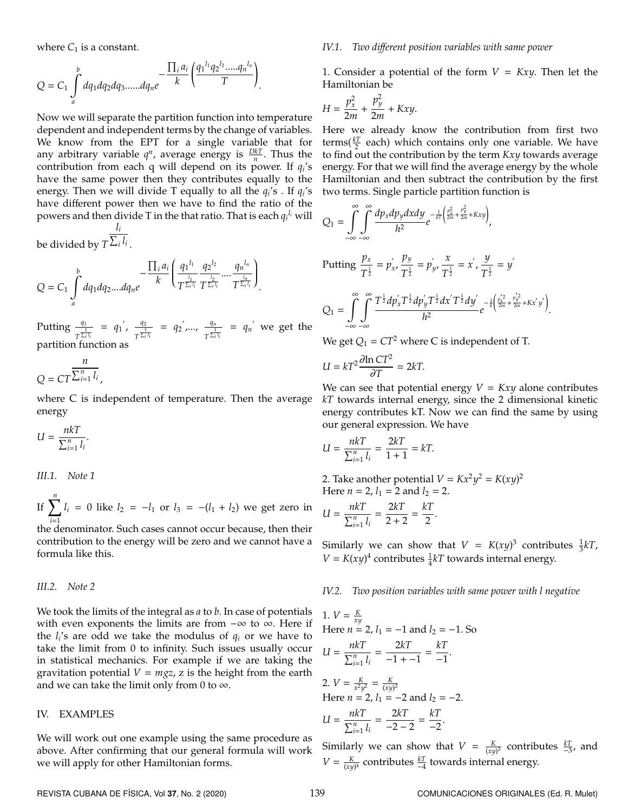where  $C_1$  is a constant.

$$
Q = C_1 \int_a^b dq_1 dq_2 dq_3 \dots dq_n e^{-\frac{\prod_i a_i}{k} \left(\frac{q_1^{l_1} q_2^{l_2} \dots q_n^{l_n}}{T}\right)}.
$$

Now we will separate the partition function into temperature dependent and independent terms by the change of variables. We know from the EPT for a single variable that for any arbitrary variable  $q^n$ , average energy is  $\frac{DkT}{n}$ . Thus the contribution from each q will depend on its power. If *q<sup>i</sup>* 's have the same power then they contributes equally to the energy. Then we will divide T equally to all the  $q_i$ 's . If  $q_i$ 's have different power then we have to find the ratio of the powers and then divide T in the that ratio. That is each *q<sup>i</sup> <sup>l</sup><sup>i</sup>* will  $l_i$ 

be divided by  $T^{\sum_i l_i}$  .

$$
Q = C_1 \int_a^b dq_1 dq_2 ....dq_ne^{-\frac{\prod_i a_i}{k} \left(\frac{q_1^{l_1}}{T^{\frac{l_1}{\sum_i l_i}} T^{\frac{l_2}{\sum_i l_i}}} .... \frac{q_n^{l_n}}{T^{\frac{l_n}{\sum_i l_i}}}\right)}.
$$

Putting  $\frac{q_1}{1}$  $\frac{q_1}{T^{\frac{1}{\sum_i l_i}}}$  =  $q_1'$ ,  $\frac{q_2}{T^{\frac{1}{\sum_i l_i}}}$  $\frac{q_2}{T^{\frac{1}{\sum_i l_i}}}$  =  $q_2', ..., \frac{q_n}{T^{\frac{1}{\sum_i l_i}}}$  $\frac{q_n}{T^{\frac{1}{\sum_i l_i}}}$  =  $q_n'$  we get the partition function as

$$
Q = CT^{\frac{n}{\sum_{i=1}^{n} l_i}},
$$

where C is independent of temperature. Then the average energy

$$
U = \frac{n k T}{\sum_{i=1}^{n} l_i}.
$$

*III.1. Note 1*

If  $\sum_{n=1}^{n}$ *i*=1  $l_i = 0$  like  $l_2 = -l_1$  or  $l_3 = -(l_1 + l_2)$  we get zero in

the denominator. Such cases cannot occur because, then their contribution to the energy will be zero and we cannot have a formula like this.

### *III.2. Note 2*

We took the limits of the integral as *a* to *b*. In case of potentials with even exponents the limits are from  $-\infty$  to  $\infty$ . Here if the  $l_i$ 's are odd we take the modulus of  $q_i$  or we have to take the limit from 0 to infinity. Such issues usually occur in statistical mechanics. For example if we are taking the gravitation potential  $V = mgz$ , z is the height from the earth and we can take the limit only from 0 to  $\infty$ .

### IV. EXAMPLES

We will work out one example using the same procedure as above. After confirming that our general formula will work we will apply for other Hamiltonian forms.

#### *IV.1. Two di*ff*erent position variables with same power*

1. Consider a potential of the form  $V = Kxy$ . Then let the Hamiltonian be

$$
H = \frac{p_x^2}{2m} + \frac{p_y^2}{2m} + Kxy.
$$

Here we already know the contribution from first two  $\text{terms}(\frac{kT}{2} \text{ each})$  which contains only one variable. We have to find out the contribution by the term *Kxy* towards average energy. For that we will find the average energy by the whole Hamiltonian and then subtract the contribution by the first two terms. Single particle partition function is

$$
Q_{1} = \int_{-\infty}^{\infty} \int_{-\infty}^{\infty} \frac{dp_{x}dp_{y}dxdy}{h^{2}} e^{-\frac{1}{kT} \left(\frac{p_{x}^{2}}{2m} + \frac{p_{y}^{2}}{2m} + Kxy\right)},
$$
  
Putting  $\frac{p_{x}}{T^{\frac{1}{2}}} = p_{x}^{'}, \frac{p_{y}}{T^{\frac{1}{2}}} = p_{y}^{'}, \frac{x}{T^{\frac{1}{2}}} = x^{'}, \frac{y}{T^{\frac{1}{2}}} = y^{'}$   

$$
Q_{1} = \int_{-\infty}^{\infty} \int_{-\infty}^{\infty} \frac{T^{\frac{1}{2}}dp_{x}^{'}T^{\frac{1}{2}}dp_{y}^{'}T^{\frac{1}{2}}dx^{'}T^{\frac{1}{2}}dy'}{h^{2}} e^{-\frac{1}{k}\left(\frac{p_{x}^{'2}}{2m} + \frac{p_{y}^{'2}}{2m} + Kx^{'}y^{'}\right)}.
$$

We get  $Q_1 = CT^2$  where C is independent of T.

$$
U = kT^2 \frac{\partial \ln CT^2}{\partial T} = 2kT.
$$

We can see that potential energy  $V = Kxy$  alone contributes *kT* towards internal energy, since the 2 dimensional kinetic energy contributes kT. Now we can find the same by using our general expression. We have

$$
U = \frac{nkT}{\sum_{i=1}^{n} l_i} = \frac{2kT}{1+1} = kT.
$$

2. Take another potential  $V = Kx^2y^2 = K(xy)^2$ Here  $n = 2$ ,  $l_1 = 2$  and  $l_2 = 2$ .

$$
U = \frac{n k T}{\sum_{i=1}^{n} l_i} = \frac{2k T}{2+2} = \frac{k T}{2}.
$$

Similarly we can show that  $V = K(xy)^3$  contributes  $\frac{1}{3}kT$ ,  $V = K(xy)^4$  contributes  $\frac{1}{4}kT$  towards internal energy.

*IV.2. Two position variables with same power with l negative*

1. 
$$
V = \frac{K}{xy}
$$
  
\nHere  $n = 2$ ,  $l_1 = -1$  and  $l_2 = -1$ . So  
\n
$$
U = \frac{nkT}{\sum_{i=1}^{n} l_i} = \frac{2kT}{-1 - 1} = \frac{kT}{-1}.
$$
\n2.  $V = \frac{K}{x^2 y^2} = \frac{K}{(xy)^2}$   
\nHere  $n = 2$ ,  $l_1 = -2$  and  $l_2 = -2$ .

$$
U = \frac{n k T}{\sum_{i=1}^{n} l_i} = \frac{2kT}{-2 - 2} = \frac{kT}{-2}
$$

Similarly we can show that  $V = \frac{K}{(xy)^3}$  contributes  $\frac{kT}{-3}$ , and  $V = \frac{K}{(xy)^4}$  contributes  $\frac{kT}{-4}$  towards internal energy.

.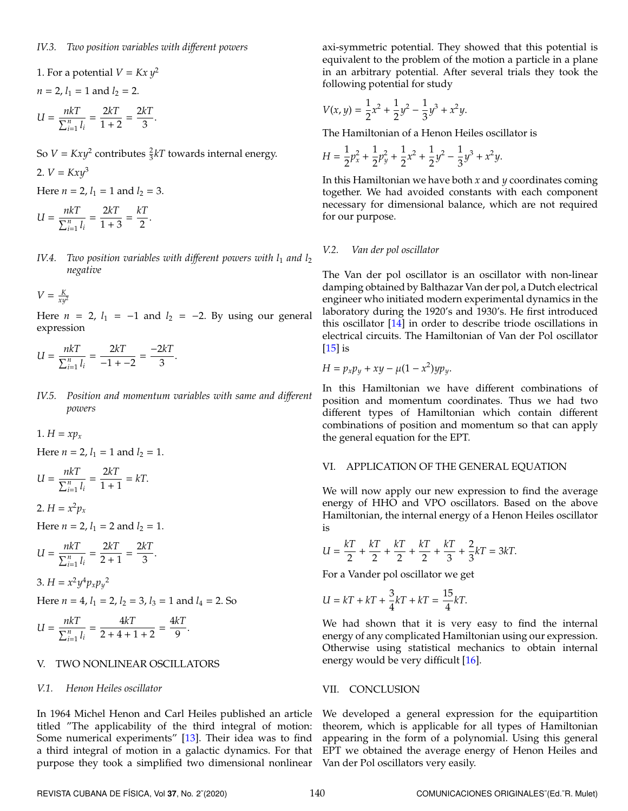1. For a potential 
$$
V = Kx y^2
$$
  
\n $n = 2, l_1 = 1$  and  $l_2 = 2$ .  
\n $U = \frac{n kT}{\sum_{i=1}^{n} l_i} = \frac{2kT}{1+2} = \frac{2kT}{3}$ .

So  $V = Kxy^2$  contributes  $\frac{2}{3}kT$  towards internal energy.

2. 
$$
V = Kxy^3
$$
  
Here  $n = 2$ ,  $l_1 = 1$  and  $l_2 = 3$ .  

$$
U = \frac{nkT}{\sum_{i=1}^{n} l_i} = \frac{2kT}{1+3} = \frac{kT}{2}.
$$

*IV.4.* Two position variables with different powers with  $l_1$  and  $l_2$ *negative*

$$
V = \frac{K}{xy^2}
$$

Here  $n = 2$ ,  $l_1 = -1$  and  $l_2 = -2$ . By using our general expression

$$
U = \frac{n k T}{\sum_{i=1}^{n} l_i} = \frac{2kT}{-1 - 2} = \frac{-2kT}{3}.
$$

*IV.5. Position and momentum variables with same and di*ff*erent powers*

$$
1. H = xp_x
$$

Here  $n = 2$ ,  $l_1 = 1$  and  $l_2 = 1$ .

$$
U = \frac{n k T}{\sum_{i=1}^{n} l_i} = \frac{2kT}{1+1} = kT.
$$

$$
2. H = x^2 p_x
$$

Here  $n = 2$ ,  $l_1 = 2$  and  $l_2 = 1$ .

$$
U = \frac{n k T}{\sum_{i=1}^{n} l_i} = \frac{2kT}{2+1} = \frac{2kT}{3}.
$$

$$
3. H = x^2 y^4 p_x p_y^2
$$

Here  $n = 4$ ,  $l_1 = 2$ ,  $l_2 = 3$ ,  $l_3 = 1$  and  $l_4 = 2$ . So

$$
U = \frac{n k T}{\sum_{i=1}^{n} l_i} = \frac{4 k T}{2 + 4 + 1 + 2} = \frac{4 k T}{9}.
$$

# V. TWO NONLINEAR OSCILLATORS

### *V.1. Henon Heiles oscillator*

In 1964 Michel Henon and Carl Heiles published an article titled "The applicability of the third integral of motion: Some numerical experiments" [\[13\]](#page-3-10). Their idea was to find a third integral of motion in a galactic dynamics. For that purpose they took a simplified two dimensional nonlinear axi-symmetric potential. They showed that this potential is equivalent to the problem of the motion a particle in a plane in an arbitrary potential. After several trials they took the following potential for study

$$
V(x, y) = \frac{1}{2}x^2 + \frac{1}{2}y^2 - \frac{1}{3}y^3 + x^2y.
$$

The Hamiltonian of a Henon Heiles oscillator is

$$
H = \frac{1}{2}p_x^2 + \frac{1}{2}p_y^2 + \frac{1}{2}x^2 + \frac{1}{2}y^2 - \frac{1}{3}y^3 + x^2y.
$$

In this Hamiltonian we have both *x* and *y* coordinates coming together. We had avoided constants with each component necessary for dimensional balance, which are not required for our purpose.

### *V.2. Van der pol oscillator*

The Van der pol oscillator is an oscillator with non-linear damping obtained by Balthazar Van der pol, a Dutch electrical engineer who initiated modern experimental dynamics in the laboratory during the 1920's and 1930's. He first introduced this oscillator [\[14\]](#page-3-11) in order to describe triode oscillations in electrical circuits. The Hamiltonian of Van der Pol oscillator [\[15\]](#page-3-12) is

$$
H = p_x p_y + xy - \mu (1 - x^2) y p_y.
$$

In this Hamiltonian we have different combinations of position and momentum coordinates. Thus we had two different types of Hamiltonian which contain different combinations of position and momentum so that can apply the general equation for the EPT.

### VI. APPLICATION OF THE GENERAL EQUATION

We will now apply our new expression to find the average energy of HHO and VPO oscillators. Based on the above Hamiltonian, the internal energy of a Henon Heiles oscillator is

$$
U = \frac{kT}{2} + \frac{kT}{2} + \frac{kT}{2} + \frac{kT}{2} + \frac{kT}{3} + \frac{2}{3}kT = 3kT.
$$

For a Vander pol oscillator we get

$$
U = kT + kT + \frac{3}{4}kT + kT = \frac{15}{4}kT.
$$

We had shown that it is very easy to find the internal energy of any complicated Hamiltonian using our expression. Otherwise using statistical mechanics to obtain internal energy would be very difficult [\[16\]](#page-3-13).

### VII. CONCLUSION

We developed a general expression for the equipartition theorem, which is applicable for all types of Hamiltonian appearing in the form of a polynomial. Using this general EPT we obtained the average energy of Henon Heiles and Van der Pol oscillators very easily.